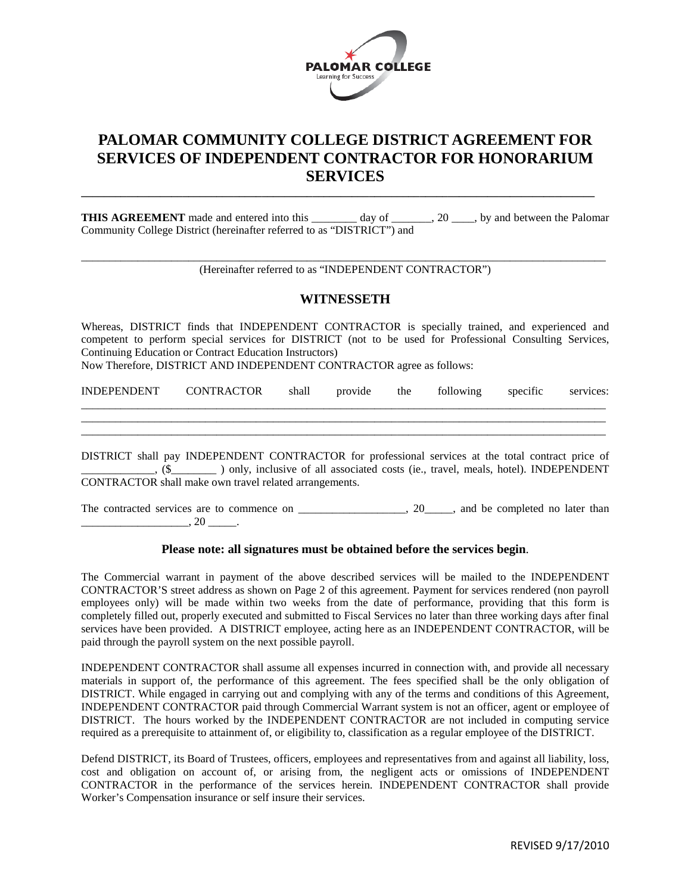

## **PALOMAR COMMUNITY COLLEGE DISTRICT AGREEMENT FOR SERVICES OF INDEPENDENT CONTRACTOR FOR HONORARIUM SERVICES**

**THIS AGREEMENT** made and entered into this \_\_\_\_\_\_\_\_ day of \_\_\_\_\_\_, 20 \_\_\_, by and between the Palomar Community College District (hereinafter referred to as "DISTRICT") and

**\_\_\_\_\_\_\_\_\_\_\_\_\_\_\_\_\_\_\_\_\_\_\_\_\_\_\_\_\_\_\_\_\_\_\_\_\_\_\_\_\_\_\_\_\_\_\_\_\_\_\_\_\_\_\_\_\_\_\_\_\_\_\_\_\_\_\_\_\_\_\_\_\_\_\_\_\_\_\_\_\_\_\_\_\_\_\_\_\_\_\_**

\_\_\_\_\_\_\_\_\_\_\_\_\_\_\_\_\_\_\_\_\_\_\_\_\_\_\_\_\_\_\_\_\_\_\_\_\_\_\_\_\_\_\_\_\_\_\_\_\_\_\_\_\_\_\_\_\_\_\_\_\_\_\_\_\_\_\_\_\_\_\_\_\_\_\_\_\_\_\_\_\_\_\_\_\_\_\_\_\_\_\_\_\_ (Hereinafter referred to as "INDEPENDENT CONTRACTOR")

## **WITNESSETH**

Whereas, DISTRICT finds that INDEPENDENT CONTRACTOR is specially trained, and experienced and competent to perform special services for DISTRICT (not to be used for Professional Consulting Services, Continuing Education or Contract Education Instructors)

Now Therefore, DISTRICT AND INDEPENDENT CONTRACTOR agree as follows:

| <b>INI</b> | ABAB<br>миап | $n_{\text{IV}}$ | the | $\cdot$ $\sim$                |  |
|------------|--------------|-----------------|-----|-------------------------------|--|
|            |              |                 |     | _____________________________ |  |

\_\_\_\_\_\_\_\_\_\_\_\_\_\_\_\_\_\_\_\_\_\_\_\_\_\_\_\_\_\_\_\_\_\_\_\_\_\_\_\_\_\_\_\_\_\_\_\_\_\_\_\_\_\_\_\_\_\_\_\_\_\_\_\_\_\_\_\_\_\_\_\_\_\_\_\_\_\_\_\_\_\_\_\_\_\_\_\_\_\_\_\_\_

DISTRICT shall pay INDEPENDENT CONTRACTOR for professional services at the total contract price of \_\_\_\_\_\_\_\_\_\_\_\_\_, (\$\_\_\_\_\_\_\_\_ ) only, inclusive of all associated costs (ie., travel, meals, hotel). INDEPENDENT CONTRACTOR shall make own travel related arrangements.

The contracted services are to commence on \_\_\_\_\_\_\_\_\_\_\_\_\_\_\_\_\_, 20\_\_\_\_\_, and be completed no later than  $, 20$   $.$ 

## **Please note: all signatures must be obtained before the services begin**.

The Commercial warrant in payment of the above described services will be mailed to the INDEPENDENT CONTRACTOR'S street address as shown on Page 2 of this agreement. Payment for services rendered (non payroll employees only) will be made within two weeks from the date of performance, providing that this form is completely filled out, properly executed and submitted to Fiscal Services no later than three working days after final services have been provided. A DISTRICT employee, acting here as an INDEPENDENT CONTRACTOR, will be paid through the payroll system on the next possible payroll.

INDEPENDENT CONTRACTOR shall assume all expenses incurred in connection with, and provide all necessary materials in support of, the performance of this agreement. The fees specified shall be the only obligation of DISTRICT. While engaged in carrying out and complying with any of the terms and conditions of this Agreement, INDEPENDENT CONTRACTOR paid through Commercial Warrant system is not an officer, agent or employee of DISTRICT. The hours worked by the INDEPENDENT CONTRACTOR are not included in computing service required as a prerequisite to attainment of, or eligibility to, classification as a regular employee of the DISTRICT.

Defend DISTRICT, its Board of Trustees, officers, employees and representatives from and against all liability, loss, cost and obligation on account of, or arising from, the negligent acts or omissions of INDEPENDENT CONTRACTOR in the performance of the services herein. INDEPENDENT CONTRACTOR shall provide Worker's Compensation insurance or self insure their services.